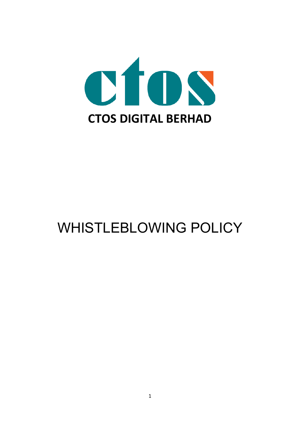

# WHISTLEBLOWING POLICY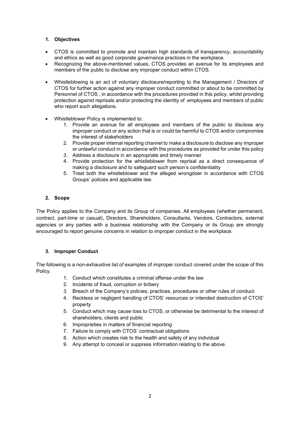### **1. Objectives**

- CTOS is committed to promote and maintain high standards of transparency, accountability and ethics as well as good corporate governance practices in the workplace.
- Recognizing the above-mentioned values, CTOS provides an avenue for its employees and members of the public to disclose any improper conduct within CTOS.
- Whistleblowing is an act of voluntary disclosure/reporting to the Management / Directors of CTOS for further action against any improper conduct committed or about to be committed by Personnel of CTOS , in accordance with the procedures provided in this policy, whilst providing protection against reprisals and/or protecting the identity of employees and members of public who report such allegations.
- Whistleblower Policy is implemented to:
	- 1. Provide an avenue for all employees and members of the public to disclose any improper conduct or any action that is or could be harmful to CTOS and/or compromise the interest of stakeholders
	- 2. Provide proper internal reporting channel to make a disclosure to disclose any improper or unlawful conduct in accordance with the procedures as provided for under this policy
	- 3. Address a disclosure in an appropriate and timely manner
	- 4. Provide protection for the whistleblower from reprisal as a direct consequence of making a disclosure and to safeguard such person's confidentiality
	- 5. Treat both the whistleblower and the alleged wrongdoer in accordance with CTOS Groups' policies and applicable law.

### **2. Scope**

The Policy applies to the Company and its Group of companies. All employees (whether permanent, contract, part-time or casual), Directors, Shareholders, Consultants, Vendors, Contractors, external agencies or any parties with a business relationship with the Company or its Group are strongly encouraged to report genuine concerns in relation to improper conduct in the workplace.

## **3. Improper Conduct**

The following is a non-exhaustive list of examples of improper conduct covered under the scope of this Policy.

- 1. Conduct which constitutes a criminal offense under the law
- 2. Incidents of fraud, corruption or bribery
- 3. Breach of the Company's policies, practices, procedures or other rules of conduct.
- 4. Reckless or negligent handling of CTOS' resources or intended destruction of CTOS' property
- 5. Conduct which may cause loss to CTOS, or otherwise be detrimental to the interest of shareholders, clients and public
- 6. Improprieties in matters of financial reporting
- 7. Failure to comply with CTOS' contractual obligations
- 8. Action which creates risk to the health and safety of any individual
- 9. Any attempt to conceal or suppress information relating to the above.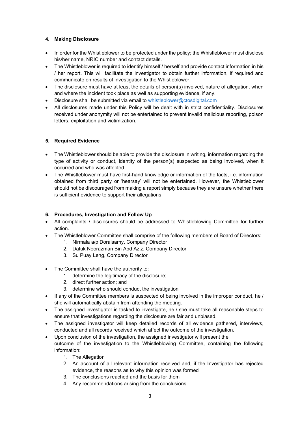## **4. Making Disclosure**

- In order for the Whistleblower to be protected under the policy; the Whistleblower must disclose his/her name, NRIC number and contact details.
- The Whistleblower is required to identify himself / herself and provide contact information in his / her report. This will facilitate the investigator to obtain further information, if required and communicate on results of investigation to the Whistleblower.
- The disclosure must have at least the details of person(s) involved, nature of allegation, when and where the incident took place as well as supporting evidence, if any.
- Disclosure shall be submitted via email to [whistleblower@ctosdigital.com](mailto:whistleblower@ctosdigital.com)
- All disclosures made under this Policy will be dealt with in strict confidentiality. Disclosures received under anonymity will not be entertained to prevent invalid malicious reporting, poison letters, exploitation and victimization.

### **5. Required Evidence**

- The Whistleblower should be able to provide the disclosure in writing, information regarding the type of activity or conduct, identity of the person(s) suspected as being involved, when it occurred and who was affected.
- The Whistleblower must have first-hand knowledge or information of the facts, i.e. information obtained from third party or 'hearsay' will not be entertained. However, the Whistleblower should not be discouraged from making a report simply because they are unsure whether there is sufficient evidence to support their allegations.

#### **6. Procedures, Investigation and Follow Up**

- All complaints / disclosures should be addressed to Whistleblowing Committee for further action.
- The Whistleblower Committee shall comprise of the following members of Board of Directors:
	- 1. Nirmala a/p Doraisamy, Company Director
	- 2. Datuk Noorazman Bin Abd Aziz, Company Director
	- 3. Su Puay Leng, Company Director
- The Committee shall have the authority to:
	- 1. determine the legitimacy of the disclosure;
	- 2. direct further action; and
	- 3. determine who should conduct the investigation
- If any of the Committee members is suspected of being involved in the improper conduct, he / she will automatically abstain from attending the meeting.
- The assigned investigator is tasked to investigate, he / she must take all reasonable steps to ensure that investigations regarding the disclosure are fair and unbiased.
- The assigned investigator will keep detailed records of all evidence gathered, interviews, conducted and all records received which affect the outcome of the investigation.
- Upon conclusion of the investigation, the assigned investigator will present the outcome of the investigation to the Whistleblowing Committee, containing the following information:
	- 1. The Allegation
	- 2. An account of all relevant information received and, if the Investigator has rejected evidence, the reasons as to why this opinion was formed
	- 3. The conclusions reached and the basis for them
	- 4. Any recommendations arising from the conclusions